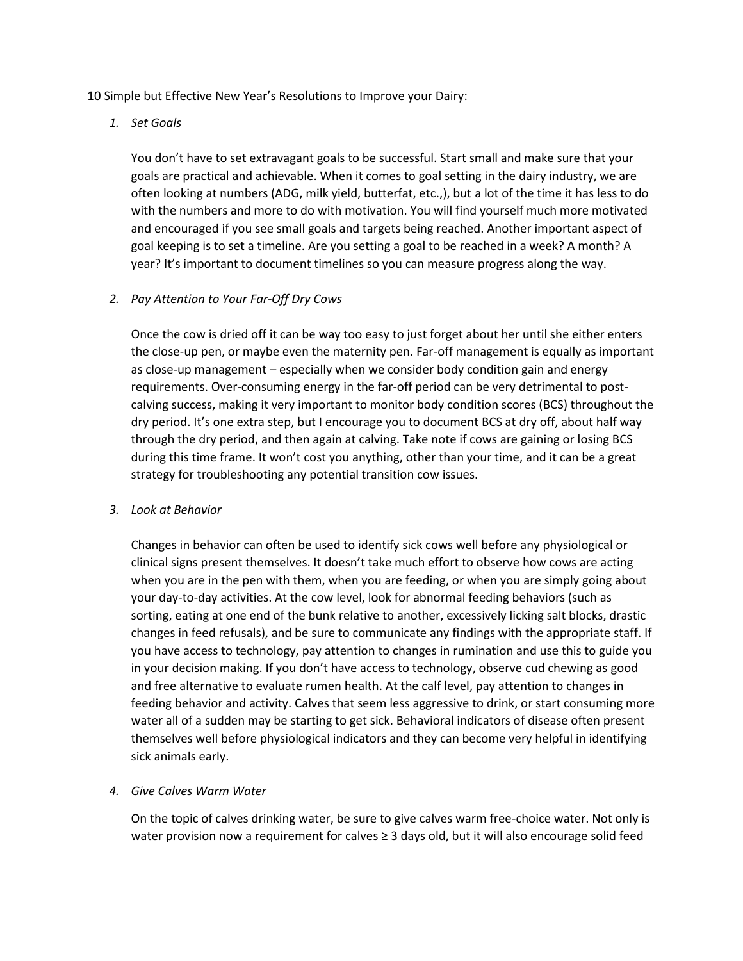10 Simple but Effective New Year's Resolutions to Improve your Dairy:

*1. Set Goals*

You don't have to set extravagant goals to be successful. Start small and make sure that your goals are practical and achievable. When it comes to goal setting in the dairy industry, we are often looking at numbers (ADG, milk yield, butterfat, etc.,), but a lot of the time it has less to do with the numbers and more to do with motivation. You will find yourself much more motivated and encouraged if you see small goals and targets being reached. Another important aspect of goal keeping is to set a timeline. Are you setting a goal to be reached in a week? A month? A year? It's important to document timelines so you can measure progress along the way.

## *2. Pay Attention to Your Far-Off Dry Cows*

Once the cow is dried off it can be way too easy to just forget about her until she either enters the close-up pen, or maybe even the maternity pen. Far-off management is equally as important as close-up management – especially when we consider body condition gain and energy requirements. Over-consuming energy in the far-off period can be very detrimental to postcalving success, making it very important to monitor body condition scores (BCS) throughout the dry period. It's one extra step, but I encourage you to document BCS at dry off, about half way through the dry period, and then again at calving. Take note if cows are gaining or losing BCS during this time frame. It won't cost you anything, other than your time, and it can be a great strategy for troubleshooting any potential transition cow issues.

### *3. Look at Behavior*

Changes in behavior can often be used to identify sick cows well before any physiological or clinical signs present themselves. It doesn't take much effort to observe how cows are acting when you are in the pen with them, when you are feeding, or when you are simply going about your day-to-day activities. At the cow level, look for abnormal feeding behaviors (such as sorting, eating at one end of the bunk relative to another, excessively licking salt blocks, drastic changes in feed refusals), and be sure to communicate any findings with the appropriate staff. If you have access to technology, pay attention to changes in rumination and use this to guide you in your decision making. If you don't have access to technology, observe cud chewing as good and free alternative to evaluate rumen health. At the calf level, pay attention to changes in feeding behavior and activity. Calves that seem less aggressive to drink, or start consuming more water all of a sudden may be starting to get sick. Behavioral indicators of disease often present themselves well before physiological indicators and they can become very helpful in identifying sick animals early.

### *4. Give Calves Warm Water*

On the topic of calves drinking water, be sure to give calves warm free-choice water. Not only is water provision now a requirement for calves ≥ 3 days old, but it will also encourage solid feed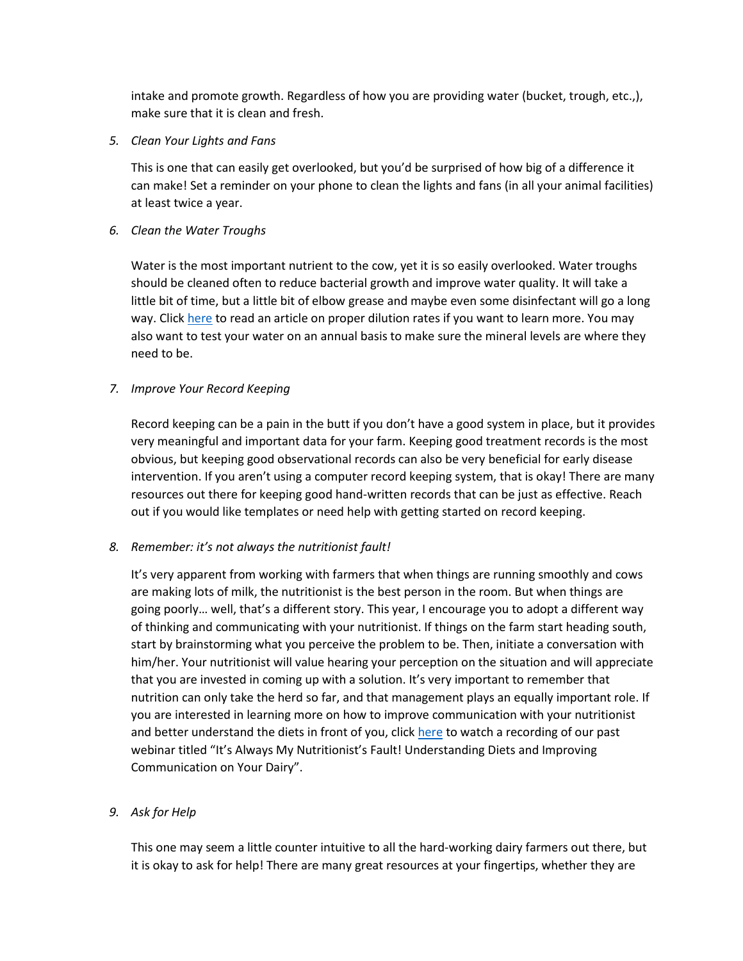intake and promote growth. Regardless of how you are providing water (bucket, trough, etc.,), make sure that it is clean and fresh.

*5. Clean Your Lights and Fans*

This is one that can easily get overlooked, but you'd be surprised of how big of a difference it can make! Set a reminder on your phone to clean the lights and fans (in all your animal facilities) at least twice a year.

*6. Clean the Water Troughs* 

Water is the most important nutrient to the cow, yet it is so easily overlooked. Water troughs should be cleaned often to reduce bacterial growth and improve water quality. It will take a little bit of time, but a little bit of elbow grease and maybe even some disinfectant will go a long way. Clic[k here](https://www.progressivedairy.com/topics/herd-health/ask-a-vet-how-to-clean-and-disinfect-water-troughs) to read an article on proper dilution rates if you want to learn more. You may also want to test your water on an annual basis to make sure the mineral levels are where they need to be.

## *7. Improve Your Record Keeping*

Record keeping can be a pain in the butt if you don't have a good system in place, but it provides very meaningful and important data for your farm. Keeping good treatment records is the most obvious, but keeping good observational records can also be very beneficial for early disease intervention. If you aren't using a computer record keeping system, that is okay! There are many resources out there for keeping good hand-written records that can be just as effective. Reach out if you would like templates or need help with getting started on record keeping.

# *8. Remember: it's not always the nutritionist fault!*

It's very apparent from working with farmers that when things are running smoothly and cows are making lots of milk, the nutritionist is the best person in the room. But when things are going poorly… well, that's a different story. This year, I encourage you to adopt a different way of thinking and communicating with your nutritionist. If things on the farm start heading south, start by brainstorming what you perceive the problem to be. Then, initiate a conversation with him/her. Your nutritionist will value hearing your perception on the situation and will appreciate that you are invested in coming up with a solution. It's very important to remember that nutrition can only take the herd so far, and that management plays an equally important role. If you are interested in learning more on how to improve communication with your nutritionist and better understand the diets in front of you, click [here](https://www.youtube.com/watch?v=1EFLPLp519g) to watch a recording of our past webinar titled "It's Always My Nutritionist's Fault! Understanding Diets and Improving Communication on Your Dairy".

# *9. Ask for Help*

This one may seem a little counter intuitive to all the hard-working dairy farmers out there, but it is okay to ask for help! There are many great resources at your fingertips, whether they are